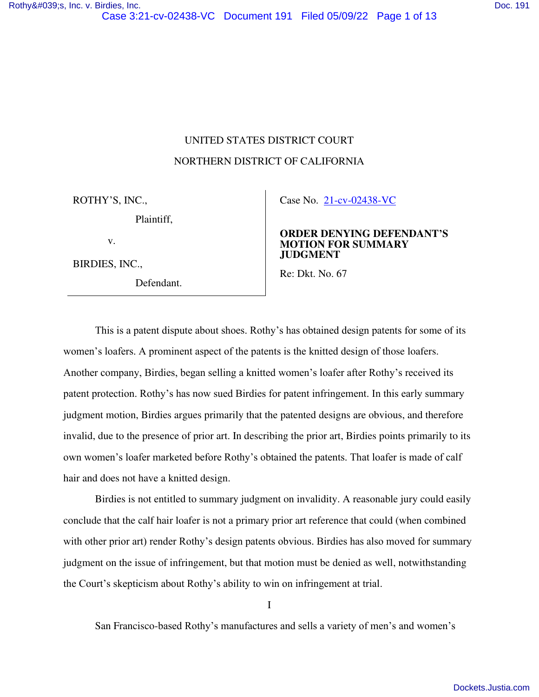# UNITED STATES DISTRICT COURT NORTHERN DISTRICT OF CALIFORNIA

ROTHY'S, INC.,

Plaintiff,

v.

BIRDIES, INC.,

Defendant.

Case No. [21-cv-02438-VC](https://cand-ecf.sso.dcn/cgi-bin/DktRpt.pl?376282) 

#### **ORDER DENYING DEFENDANT'S MOTION FOR SUMMARY JUDGMENT**

Re: Dkt. No. 67

This is a patent dispute about shoes. Rothy's has obtained design patents for some of its women's loafers. A prominent aspect of the patents is the knitted design of those loafers. Another company, Birdies, began selling a knitted women's loafer after Rothy's received its patent protection. Rothy's has now sued Birdies for patent infringement. In this early summary judgment motion, Birdies argues primarily that the patented designs are obvious, and therefore invalid, due to the presence of prior art. In describing the prior art, Birdies points primarily to its own women's loafer marketed before Rothy's obtained the patents. That loafer is made of calf hair and does not have a knitted design.

Birdies is not entitled to summary judgment on invalidity. A reasonable jury could easily conclude that the calf hair loafer is not a primary prior art reference that could (when combined with other prior art) render Rothy's design patents obvious. Birdies has also moved for summary judgment on the issue of infringement, but that motion must be denied as well, notwithstanding the Court's skepticism about Rothy's ability to win on infringement at trial.

I

San Francisco-based Rothy's manufactures and sells a variety of men's and women's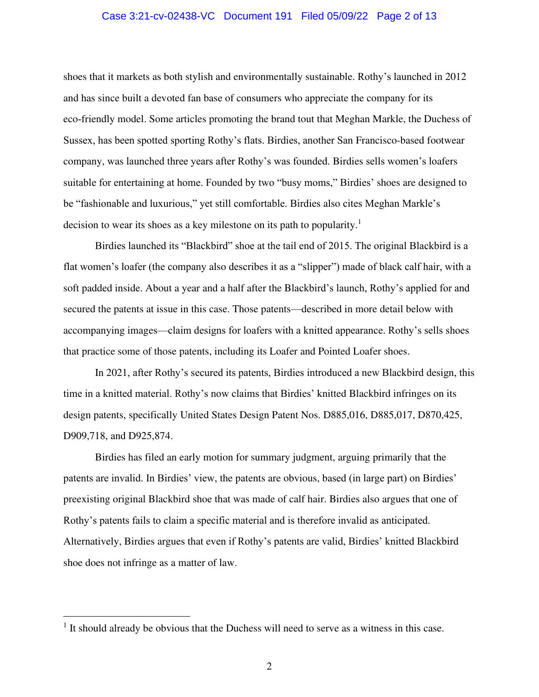#### Case 3:21-cv-02438-VC Document 191 Filed 05/09/22 Page 2 of 13

shoes that it markets as both stylish and environmentally sustainable. Rothy's launched in 2012 and has since built a devoted fan base of consumers who appreciate the company for its eco-friendly model. Some articles promoting the brand tout that Meghan Markle, the Duchess of Sussex, has been spotted sporting Rothy's flats. Birdies, another San Francisco-based footwear company, was launched three years after Rothy's was founded. Birdies sells women's loafers suitable for entertaining at home. Founded by two "busy moms," Birdies' shoes are designed to be "fashionable and luxurious," yet still comfortable. Birdies also cites Meghan Markle's decision to wear its shoes as a key milestone on its path to popularity.<sup>1</sup>

Birdies launched its "Blackbird" shoe at the tail end of 2015. The original Blackbird is a flat women's loafer (the company also describes it as a "slipper") made of black calf hair, with a soft padded inside. About a year and a half after the Blackbird's launch, Rothy's applied for and secured the patents at issue in this case. Those patents—described in more detail below with accompanying images—claim designs for loafers with a knitted appearance. Rothy's sells shoes that practice some of those patents, including its Loafer and Pointed Loafer shoes.

In 2021, after Rothy's secured its patents, Birdies introduced a new Blackbird design, this time in a knitted material. Rothy's now claims that Birdies' knitted Blackbird infringes on its design patents, specifically United States Design Patent Nos. D885,016, D885,017, D870,425, D909,718, and D925,874.

 Birdies has filed an early motion for summary judgment, arguing primarily that the patents are invalid. In Birdies' view, the patents are obvious, based (in large part) on Birdies' preexisting original Blackbird shoe that was made of calf hair. Birdies also argues that one of Rothy's patents fails to claim a specific material and is therefore invalid as anticipated. Alternatively, Birdies argues that even if Rothy's patents are valid, Birdies' knitted Blackbird shoe does not infringe as a matter of law.

 $<sup>1</sup>$  It should already be obvious that the Duchess will need to serve as a witness in this case.</sup>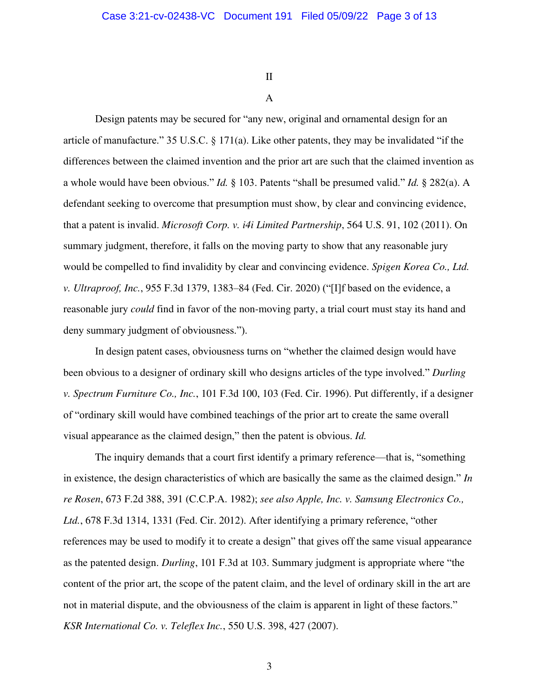II

## A

Design patents may be secured for "any new, original and ornamental design for an article of manufacture." 35 U.S.C. § 171(a). Like other patents, they may be invalidated "if the differences between the claimed invention and the prior art are such that the claimed invention as a whole would have been obvious." *Id.* § 103. Patents "shall be presumed valid." *Id.* § 282(a). A defendant seeking to overcome that presumption must show, by clear and convincing evidence, that a patent is invalid. *Microsoft Corp. v. i4i Limited Partnership*, 564 U.S. 91, 102 (2011). On summary judgment, therefore, it falls on the moving party to show that any reasonable jury would be compelled to find invalidity by clear and convincing evidence. *Spigen Korea Co., Ltd. v. Ultraproof, Inc.*, 955 F.3d 1379, 1383–84 (Fed. Cir. 2020) ("[I]f based on the evidence, a reasonable jury *could* find in favor of the non-moving party, a trial court must stay its hand and deny summary judgment of obviousness.").

In design patent cases, obviousness turns on "whether the claimed design would have been obvious to a designer of ordinary skill who designs articles of the type involved." *Durling v. Spectrum Furniture Co., Inc.*, 101 F.3d 100, 103 (Fed. Cir. 1996). Put differently, if a designer of "ordinary skill would have combined teachings of the prior art to create the same overall visual appearance as the claimed design," then the patent is obvious. *Id.*

The inquiry demands that a court first identify a primary reference—that is, "something in existence, the design characteristics of which are basically the same as the claimed design." *In re Rosen*, 673 F.2d 388, 391 (C.C.P.A. 1982); *see also Apple, Inc. v. Samsung Electronics Co., Ltd.*, 678 F.3d 1314, 1331 (Fed. Cir. 2012). After identifying a primary reference, "other references may be used to modify it to create a design" that gives off the same visual appearance as the patented design. *Durling*, 101 F.3d at 103. Summary judgment is appropriate where "the content of the prior art, the scope of the patent claim, and the level of ordinary skill in the art are not in material dispute, and the obviousness of the claim is apparent in light of these factors." *KSR International Co. v. Teleflex Inc.*, 550 U.S. 398, 427 (2007).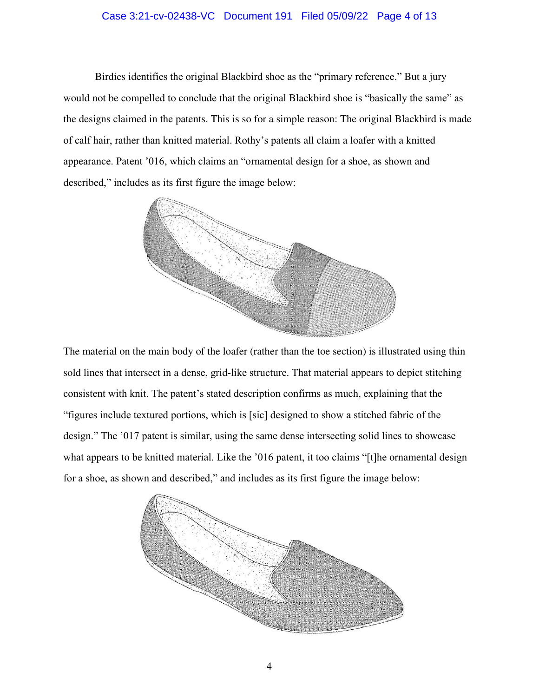#### Case 3:21-cv-02438-VC Document 191 Filed 05/09/22 Page 4 of 13

Birdies identifies the original Blackbird shoe as the "primary reference." But a jury would not be compelled to conclude that the original Blackbird shoe is "basically the same" as the designs claimed in the patents. This is so for a simple reason: The original Blackbird is made of calf hair, rather than knitted material. Rothy's patents all claim a loafer with a knitted appearance. Patent '016, which claims an "ornamental design for a shoe, as shown and described," includes as its first figure the image below:



The material on the main body of the loafer (rather than the toe section) is illustrated using thin sold lines that intersect in a dense, grid-like structure. That material appears to depict stitching consistent with knit. The patent's stated description confirms as much, explaining that the "figures include textured portions, which is [sic] designed to show a stitched fabric of the design." The '017 patent is similar, using the same dense intersecting solid lines to showcase what appears to be knitted material. Like the '016 patent, it too claims "[t]he ornamental design for a shoe, as shown and described," and includes as its first figure the image below:

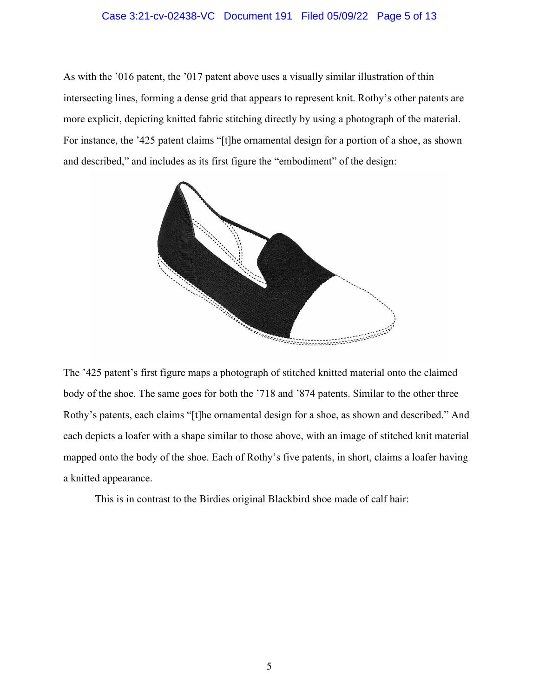#### Case 3:21-cv-02438-VC Document 191 Filed 05/09/22 Page 5 of 13

As with the '016 patent, the '017 patent above uses a visually similar illustration of thin intersecting lines, forming a dense grid that appears to represent knit. Rothy's other patents are more explicit, depicting knitted fabric stitching directly by using a photograph of the material. For instance, the '425 patent claims "[t]he ornamental design for a portion of a shoe, as shown and described," and includes as its first figure the "embodiment" of the design:



The '425 patent's first figure maps a photograph of stitched knitted material onto the claimed body of the shoe. The same goes for both the '718 and '874 patents. Similar to the other three Rothy's patents, each claims "[t]he ornamental design for a shoe, as shown and described." And each depicts a loafer with a shape similar to those above, with an image of stitched knit material mapped onto the body of the shoe. Each of Rothy's five patents, in short, claims a loafer having a knitted appearance.

This is in contrast to the Birdies original Blackbird shoe made of calf hair: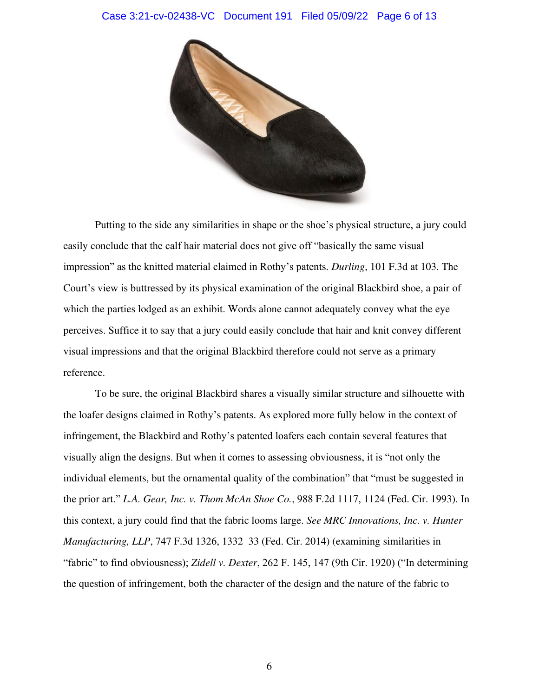#### Case 3:21-cv-02438-VC Document 191 Filed 05/09/22 Page 6 of 13



Putting to the side any similarities in shape or the shoe's physical structure, a jury could easily conclude that the calf hair material does not give off "basically the same visual impression" as the knitted material claimed in Rothy's patents. *Durling*, 101 F.3d at 103. The Court's view is buttressed by its physical examination of the original Blackbird shoe, a pair of which the parties lodged as an exhibit. Words alone cannot adequately convey what the eye perceives. Suffice it to say that a jury could easily conclude that hair and knit convey different visual impressions and that the original Blackbird therefore could not serve as a primary reference.

To be sure, the original Blackbird shares a visually similar structure and silhouette with the loafer designs claimed in Rothy's patents. As explored more fully below in the context of infringement, the Blackbird and Rothy's patented loafers each contain several features that visually align the designs. But when it comes to assessing obviousness, it is "not only the individual elements, but the ornamental quality of the combination" that "must be suggested in the prior art." *L.A. Gear, Inc. v. Thom McAn Shoe Co.*, 988 F.2d 1117, 1124 (Fed. Cir. 1993). In this context, a jury could find that the fabric looms large. *See MRC Innovations, Inc. v. Hunter Manufacturing, LLP*, 747 F.3d 1326, 1332–33 (Fed. Cir. 2014) (examining similarities in "fabric" to find obviousness); *Zidell v. Dexter*, 262 F. 145, 147 (9th Cir. 1920) ("In determining the question of infringement, both the character of the design and the nature of the fabric to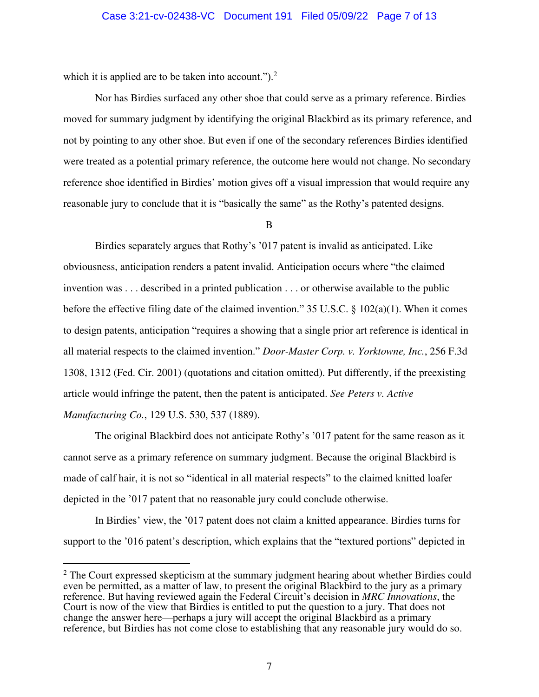which it is applied are to be taken into account.").<sup>2</sup>

Nor has Birdies surfaced any other shoe that could serve as a primary reference. Birdies moved for summary judgment by identifying the original Blackbird as its primary reference, and not by pointing to any other shoe. But even if one of the secondary references Birdies identified were treated as a potential primary reference, the outcome here would not change. No secondary reference shoe identified in Birdies' motion gives off a visual impression that would require any reasonable jury to conclude that it is "basically the same" as the Rothy's patented designs.

B

Birdies separately argues that Rothy's '017 patent is invalid as anticipated. Like obviousness, anticipation renders a patent invalid. Anticipation occurs where "the claimed invention was . . . described in a printed publication . . . or otherwise available to the public before the effective filing date of the claimed invention." 35 U.S.C.  $\S$  102(a)(1). When it comes to design patents, anticipation "requires a showing that a single prior art reference is identical in all material respects to the claimed invention." *Door-Master Corp. v. Yorktowne, Inc.*, 256 F.3d 1308, 1312 (Fed. Cir. 2001) (quotations and citation omitted). Put differently, if the preexisting article would infringe the patent, then the patent is anticipated. *See Peters v. Active Manufacturing Co.*, 129 U.S. 530, 537 (1889).

 The original Blackbird does not anticipate Rothy's '017 patent for the same reason as it cannot serve as a primary reference on summary judgment. Because the original Blackbird is made of calf hair, it is not so "identical in all material respects" to the claimed knitted loafer depicted in the '017 patent that no reasonable jury could conclude otherwise.

In Birdies' view, the '017 patent does not claim a knitted appearance. Birdies turns for support to the '016 patent's description, which explains that the "textured portions" depicted in

 $2$  The Court expressed skepticism at the summary judgment hearing about whether Birdies could even be permitted, as a matter of law, to present the original Blackbird to the jury as a primary reference. But having reviewed again the Federal Circuit's decision in *MRC Innovations*, the Court is now of the view that Birdies is entitled to put the question to a jury. That does not change the answer here—perhaps a jury will accept the original Blackbird as a primary reference, but Birdies has not come close to establishing that any reasonable jury would do so.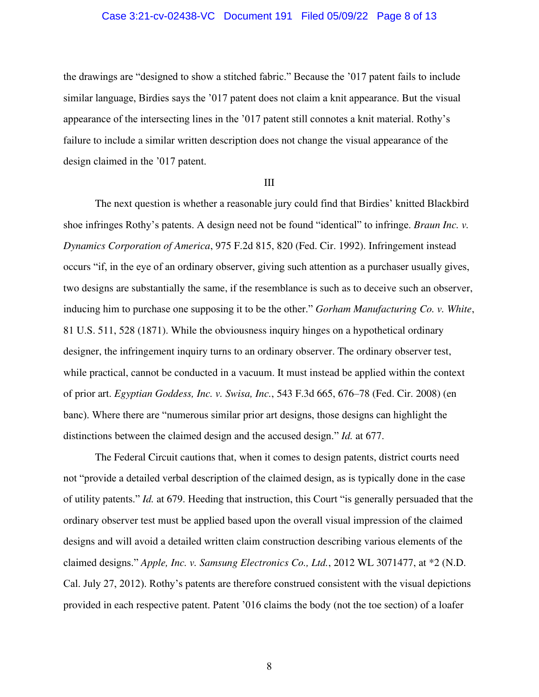#### Case 3:21-cv-02438-VC Document 191 Filed 05/09/22 Page 8 of 13

the drawings are "designed to show a stitched fabric." Because the '017 patent fails to include similar language, Birdies says the '017 patent does not claim a knit appearance. But the visual appearance of the intersecting lines in the '017 patent still connotes a knit material. Rothy's failure to include a similar written description does not change the visual appearance of the design claimed in the '017 patent.

#### III

The next question is whether a reasonable jury could find that Birdies' knitted Blackbird shoe infringes Rothy's patents. A design need not be found "identical" to infringe. *Braun Inc. v. Dynamics Corporation of America*, 975 F.2d 815, 820 (Fed. Cir. 1992). Infringement instead occurs "if, in the eye of an ordinary observer, giving such attention as a purchaser usually gives, two designs are substantially the same, if the resemblance is such as to deceive such an observer, inducing him to purchase one supposing it to be the other." *Gorham Manufacturing Co. v. White*, 81 U.S. 511, 528 (1871). While the obviousness inquiry hinges on a hypothetical ordinary designer, the infringement inquiry turns to an ordinary observer. The ordinary observer test, while practical, cannot be conducted in a vacuum. It must instead be applied within the context of prior art. *Egyptian Goddess, Inc. v. Swisa, Inc.*, 543 F.3d 665, 676–78 (Fed. Cir. 2008) (en banc). Where there are "numerous similar prior art designs, those designs can highlight the distinctions between the claimed design and the accused design." *Id.* at 677.

The Federal Circuit cautions that, when it comes to design patents, district courts need not "provide a detailed verbal description of the claimed design, as is typically done in the case of utility patents." *Id.* at 679. Heeding that instruction, this Court "is generally persuaded that the ordinary observer test must be applied based upon the overall visual impression of the claimed designs and will avoid a detailed written claim construction describing various elements of the claimed designs." *Apple, Inc. v. Samsung Electronics Co., Ltd.*, 2012 WL 3071477, at \*2 (N.D. Cal. July 27, 2012). Rothy's patents are therefore construed consistent with the visual depictions provided in each respective patent. Patent '016 claims the body (not the toe section) of a loafer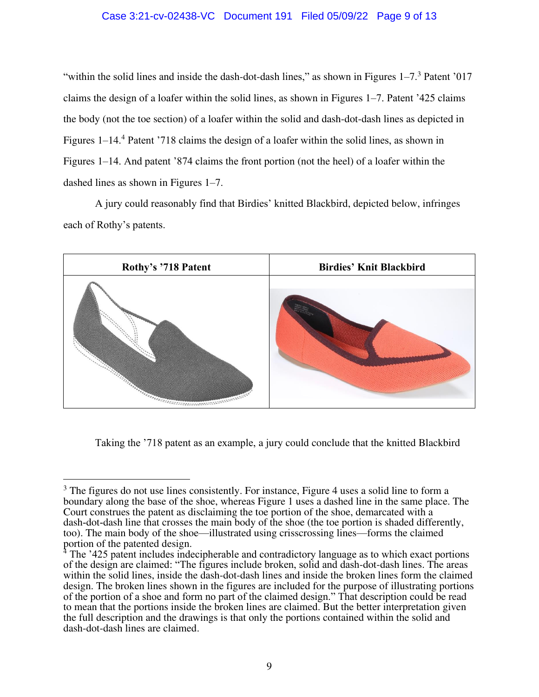### Case 3:21-cv-02438-VC Document 191 Filed 05/09/22 Page 9 of 13

"within the solid lines and inside the dash-dot-dash lines," as shown in Figures  $1-7<sup>3</sup>$  Patent '017 claims the design of a loafer within the solid lines, as shown in Figures 1–7. Patent '425 claims the body (not the toe section) of a loafer within the solid and dash-dot-dash lines as depicted in Figures 1–14.<sup>4</sup> Patent '718 claims the design of a loafer within the solid lines, as shown in Figures 1–14. And patent '874 claims the front portion (not the heel) of a loafer within the dashed lines as shown in Figures 1–7.

A jury could reasonably find that Birdies' knitted Blackbird, depicted below, infringes each of Rothy's patents.



Taking the '718 patent as an example, a jury could conclude that the knitted Blackbird

<sup>&</sup>lt;sup>3</sup> The figures do not use lines consistently. For instance, Figure 4 uses a solid line to form a boundary along the base of the shoe, whereas Figure 1 uses a dashed line in the same place. The Court construes the patent as disclaiming the toe portion of the shoe, demarcated with a dash–dot–dash line that crosses the main body of the shoe (the toe portion is shaded differently, too). The main body of the shoe—illustrated using crisscrossing lines—forms the claimed portion of the patented design.

<sup>&</sup>lt;sup>4</sup> The '425 patent includes indecipherable and contradictory language as to which exact portions of the design are claimed: "The figures include broken, solid and dash-dot-dash lines. The areas within the solid lines, inside the dash-dot-dash lines and inside the broken lines form the claimed design. The broken lines shown in the figures are included for the purpose of illustrating portions of the portion of a shoe and form no part of the claimed design." That description could be read to mean that the portions inside the broken lines are claimed. But the better interpretation given the full description and the drawings is that only the portions contained within the solid and dash-dot-dash lines are claimed.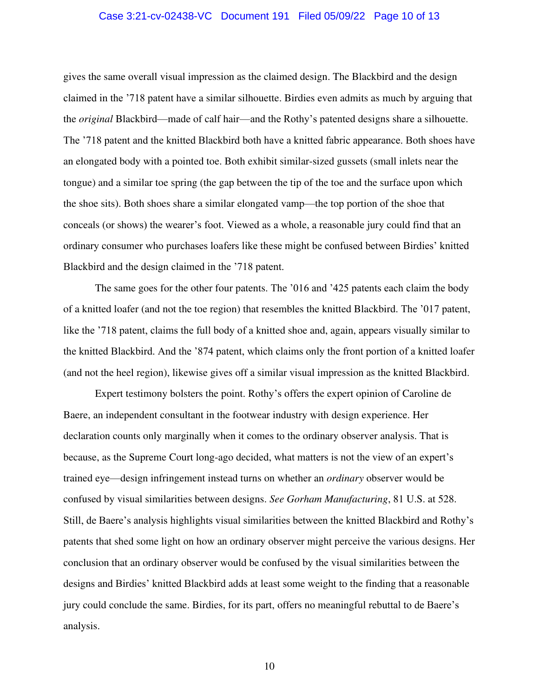#### Case 3:21-cv-02438-VC Document 191 Filed 05/09/22 Page 10 of 13

gives the same overall visual impression as the claimed design. The Blackbird and the design claimed in the '718 patent have a similar silhouette. Birdies even admits as much by arguing that the *original* Blackbird—made of calf hair—and the Rothy's patented designs share a silhouette. The '718 patent and the knitted Blackbird both have a knitted fabric appearance. Both shoes have an elongated body with a pointed toe. Both exhibit similar-sized gussets (small inlets near the tongue) and a similar toe spring (the gap between the tip of the toe and the surface upon which the shoe sits). Both shoes share a similar elongated vamp—the top portion of the shoe that conceals (or shows) the wearer's foot. Viewed as a whole, a reasonable jury could find that an ordinary consumer who purchases loafers like these might be confused between Birdies' knitted Blackbird and the design claimed in the '718 patent.

The same goes for the other four patents. The '016 and '425 patents each claim the body of a knitted loafer (and not the toe region) that resembles the knitted Blackbird. The '017 patent, like the '718 patent, claims the full body of a knitted shoe and, again, appears visually similar to the knitted Blackbird. And the '874 patent, which claims only the front portion of a knitted loafer (and not the heel region), likewise gives off a similar visual impression as the knitted Blackbird.

Expert testimony bolsters the point. Rothy's offers the expert opinion of Caroline de Baere, an independent consultant in the footwear industry with design experience. Her declaration counts only marginally when it comes to the ordinary observer analysis. That is because, as the Supreme Court long-ago decided, what matters is not the view of an expert's trained eye—design infringement instead turns on whether an *ordinary* observer would be confused by visual similarities between designs. *See Gorham Manufacturing*, 81 U.S. at 528. Still, de Baere's analysis highlights visual similarities between the knitted Blackbird and Rothy's patents that shed some light on how an ordinary observer might perceive the various designs. Her conclusion that an ordinary observer would be confused by the visual similarities between the designs and Birdies' knitted Blackbird adds at least some weight to the finding that a reasonable jury could conclude the same. Birdies, for its part, offers no meaningful rebuttal to de Baere's analysis.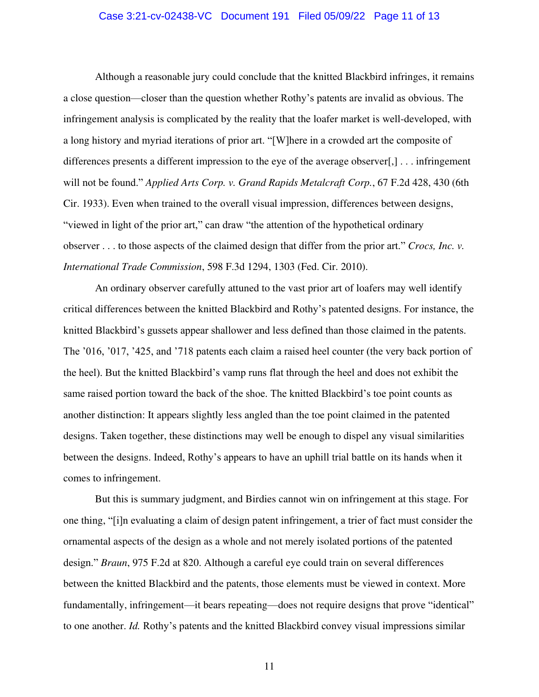#### Case 3:21-cv-02438-VC Document 191 Filed 05/09/22 Page 11 of 13

Although a reasonable jury could conclude that the knitted Blackbird infringes, it remains a close question—closer than the question whether Rothy's patents are invalid as obvious. The infringement analysis is complicated by the reality that the loafer market is well-developed, with a long history and myriad iterations of prior art. "[W]here in a crowded art the composite of differences presents a different impression to the eye of the average observer[,] . . . infringement will not be found." *Applied Arts Corp. v. Grand Rapids Metalcraft Corp.*, 67 F.2d 428, 430 (6th Cir. 1933). Even when trained to the overall visual impression, differences between designs, "viewed in light of the prior art," can draw "the attention of the hypothetical ordinary observer . . . to those aspects of the claimed design that differ from the prior art." *Crocs, Inc. v. International Trade Commission*, 598 F.3d 1294, 1303 (Fed. Cir. 2010).

An ordinary observer carefully attuned to the vast prior art of loafers may well identify critical differences between the knitted Blackbird and Rothy's patented designs. For instance, the knitted Blackbird's gussets appear shallower and less defined than those claimed in the patents. The '016, '017, '425, and '718 patents each claim a raised heel counter (the very back portion of the heel). But the knitted Blackbird's vamp runs flat through the heel and does not exhibit the same raised portion toward the back of the shoe. The knitted Blackbird's toe point counts as another distinction: It appears slightly less angled than the toe point claimed in the patented designs. Taken together, these distinctions may well be enough to dispel any visual similarities between the designs. Indeed, Rothy's appears to have an uphill trial battle on its hands when it comes to infringement.

But this is summary judgment, and Birdies cannot win on infringement at this stage. For one thing, "[i]n evaluating a claim of design patent infringement, a trier of fact must consider the ornamental aspects of the design as a whole and not merely isolated portions of the patented design." *Braun*, 975 F.2d at 820. Although a careful eye could train on several differences between the knitted Blackbird and the patents, those elements must be viewed in context. More fundamentally, infringement—it bears repeating—does not require designs that prove "identical" to one another. *Id.* Rothy's patents and the knitted Blackbird convey visual impressions similar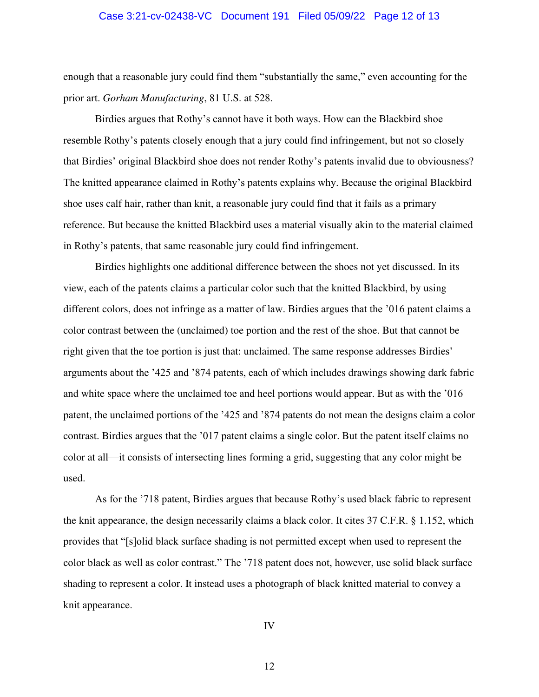#### Case 3:21-cv-02438-VC Document 191 Filed 05/09/22 Page 12 of 13

enough that a reasonable jury could find them "substantially the same," even accounting for the prior art. *Gorham Manufacturing*, 81 U.S. at 528.

Birdies argues that Rothy's cannot have it both ways. How can the Blackbird shoe resemble Rothy's patents closely enough that a jury could find infringement, but not so closely that Birdies' original Blackbird shoe does not render Rothy's patents invalid due to obviousness? The knitted appearance claimed in Rothy's patents explains why. Because the original Blackbird shoe uses calf hair, rather than knit, a reasonable jury could find that it fails as a primary reference. But because the knitted Blackbird uses a material visually akin to the material claimed in Rothy's patents, that same reasonable jury could find infringement.

Birdies highlights one additional difference between the shoes not yet discussed. In its view, each of the patents claims a particular color such that the knitted Blackbird, by using different colors, does not infringe as a matter of law. Birdies argues that the '016 patent claims a color contrast between the (unclaimed) toe portion and the rest of the shoe. But that cannot be right given that the toe portion is just that: unclaimed. The same response addresses Birdies' arguments about the '425 and '874 patents, each of which includes drawings showing dark fabric and white space where the unclaimed toe and heel portions would appear. But as with the '016 patent, the unclaimed portions of the '425 and '874 patents do not mean the designs claim a color contrast. Birdies argues that the '017 patent claims a single color. But the patent itself claims no color at all—it consists of intersecting lines forming a grid, suggesting that any color might be used.

As for the '718 patent, Birdies argues that because Rothy's used black fabric to represent the knit appearance, the design necessarily claims a black color. It cites 37 C.F.R. § 1.152, which provides that "[s]olid black surface shading is not permitted except when used to represent the color black as well as color contrast." The '718 patent does not, however, use solid black surface shading to represent a color. It instead uses a photograph of black knitted material to convey a knit appearance.

IV